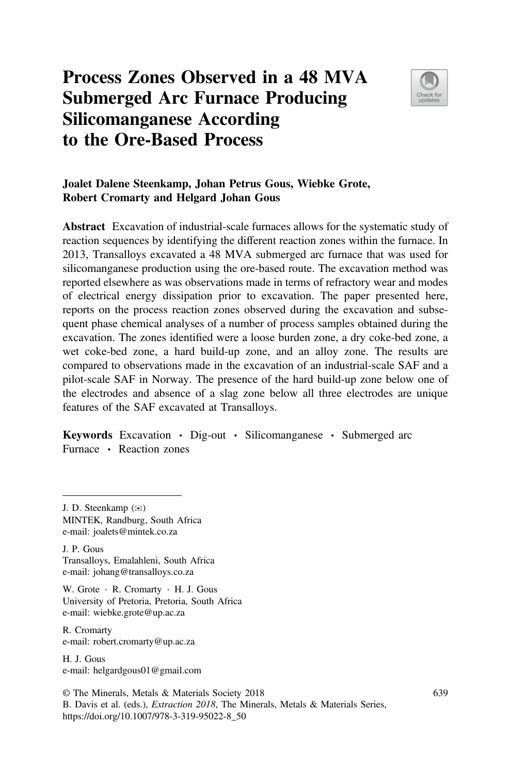# **Process Zones Observed in a 48 MVA Submerged Arc Furnace Producing Silicomanganese According to the Ore-Based Process**



## **Joalet Dalene Steenkamp, Johan Petrus Gous, Wiebke Grote, Robert Cromarty and Helgard Johan Gous**

**Abstract** Excavation of industrial-scale furnaces allows for the systematic study of reaction sequences by identifying the different reaction zones within the furnace. In 2013, Transalloys excavated a 48 MVA submerged arc furnace that was used for silicomanganese production using the ore-based route. The excavation method was reported elsewhere as was observations made in terms of refractory wear and modes of electrical energy dissipation prior to excavation. The paper presented here, reports on the process reaction zones observed during the excavation and subsequent phase chemical analyses of a number of process samples obtained during the excavation. The zones identified were a loose burden zone, a dry coke-bed zone, a wet coke-bed zone, a hard build-up zone, and an alloy zone. The results are compared to observations made in the excavation of an industrial-scale SAF and a pilot-scale SAF in Norway. The presence of the hard build-up zone below one of the electrodes and absence of a slag zone below all three electrodes are unique features of the SAF excavated at Transalloys.

**Keywords** Excavation ⋅ Dig-out ⋅ Silicomanganese ⋅ Submerged arc Furnace ⋅ Reaction zones

J. P. Gous Transalloys, Emalahleni, South Africa e-mail: johang@transalloys.co.za

W. Grote ⋅ R. Cromarty ⋅ H. J. Gous University of Pretoria, Pretoria, South Africa e-mail: wiebke.grote@up.ac.za

R. Cromarty e-mail: robert.cromarty@up.ac.za

H. J. Gous e-mail: helgardgous01@gmail.com

© The Minerals, Metals & Materials Society 2018 B. Davis et al. (eds.), *Extraction 2018*, The Minerals, Metals & Materials Series, https://doi.org/10.1007/978-3-319-95022-8\_50

J. D. Steenkamp (✉)

MINTEK, Randburg, South Africa e-mail: joalets@mintek.co.za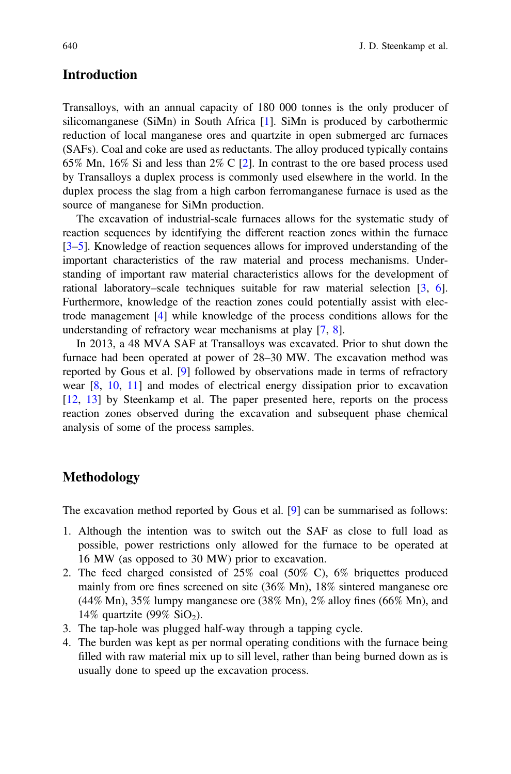## **Introduction**

Transalloys, with an annual capacity of 180 000 tonnes is the only producer of silicomanganese (SiMn) in South Africa [1]. SiMn is produced by carbothermic reduction of local manganese ores and quartzite in open submerged arc furnaces (SAFs). Coal and coke are used as reductants. The alloy produced typically contains 65% Mn, 16% Si and less than 2% C [2]. In contrast to the ore based process used by Transalloys a duplex process is commonly used elsewhere in the world. In the duplex process the slag from a high carbon ferromanganese furnace is used as the source of manganese for SiMn production.

The excavation of industrial-scale furnaces allows for the systematic study of reaction sequences by identifying the different reaction zones within the furnace [3–5]. Knowledge of reaction sequences allows for improved understanding of the important characteristics of the raw material and process mechanisms. Understanding of important raw material characteristics allows for the development of rational laboratory–scale techniques suitable for raw material selection [3, 6]. Furthermore, knowledge of the reaction zones could potentially assist with electrode management [4] while knowledge of the process conditions allows for the understanding of refractory wear mechanisms at play [7, 8].

In 2013, a 48 MVA SAF at Transalloys was excavated. Prior to shut down the furnace had been operated at power of 28–30 MW. The excavation method was reported by Gous et al. [9] followed by observations made in terms of refractory wear [8, 10, 11] and modes of electrical energy dissipation prior to excavation [12, 13] by Steenkamp et al. The paper presented here, reports on the process reaction zones observed during the excavation and subsequent phase chemical analysis of some of the process samples.

## **Methodology**

The excavation method reported by Gous et al. [9] can be summarised as follows:

- 1. Although the intention was to switch out the SAF as close to full load as possible, power restrictions only allowed for the furnace to be operated at 16 MW (as opposed to 30 MW) prior to excavation.
- 2. The feed charged consisted of 25% coal (50% C), 6% briquettes produced mainly from ore fines screened on site (36% Mn), 18% sintered manganese ore (44% Mn), 35% lumpy manganese ore (38% Mn), 2% alloy fines (66% Mn), and 14% quartzite (99%  $SiO<sub>2</sub>$ ).
- 3. The tap-hole was plugged half-way through a tapping cycle.
- 4. The burden was kept as per normal operating conditions with the furnace being filled with raw material mix up to sill level, rather than being burned down as is usually done to speed up the excavation process.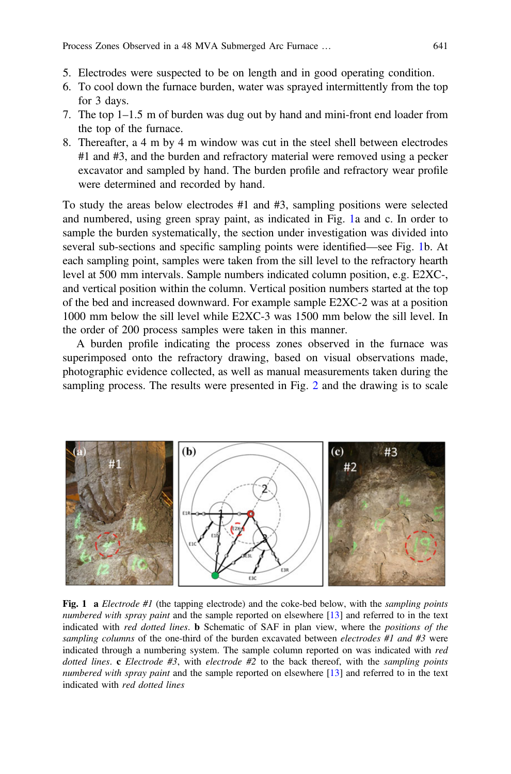- 5. Electrodes were suspected to be on length and in good operating condition.
- 6. To cool down the furnace burden, water was sprayed intermittently from the top for 3 days.
- 7. The top 1–1.5 m of burden was dug out by hand and mini-front end loader from the top of the furnace.
- 8. Thereafter, a 4 m by 4 m window was cut in the steel shell between electrodes #1 and #3, and the burden and refractory material were removed using a pecker excavator and sampled by hand. The burden profile and refractory wear profile were determined and recorded by hand.

To study the areas below electrodes #1 and #3, sampling positions were selected and numbered, using green spray paint, as indicated in Fig. 1a and c. In order to sample the burden systematically, the section under investigation was divided into several sub-sections and specific sampling points were identified—see Fig. 1b. At each sampling point, samples were taken from the sill level to the refractory hearth level at 500 mm intervals. Sample numbers indicated column position, e.g. E2XC-, and vertical position within the column. Vertical position numbers started at the top of the bed and increased downward. For example sample E2XC-2 was at a position 1000 mm below the sill level while E2XC-3 was 1500 mm below the sill level. In the order of 200 process samples were taken in this manner.

A burden profile indicating the process zones observed in the furnace was superimposed onto the refractory drawing, based on visual observations made, photographic evidence collected, as well as manual measurements taken during the sampling process. The results were presented in Fig. 2 and the drawing is to scale



**Fig. 1 a** *Electrode #1* (the tapping electrode) and the coke-bed below, with the *sampling points numbered with spray paint* and the sample reported on elsewhere [13] and referred to in the text indicated with *red dotted lines*. **b** Schematic of SAF in plan view, where the *positions of the sampling columns* of the one-third of the burden excavated between *electrodes #1 and #3* were indicated through a numbering system. The sample column reported on was indicated with *red dotted lines*. **c** *Electrode #3*, with *electrode #2* to the back thereof, with the *sampling points numbered with spray paint* and the sample reported on elsewhere [13] and referred to in the text indicated with *red dotted lines*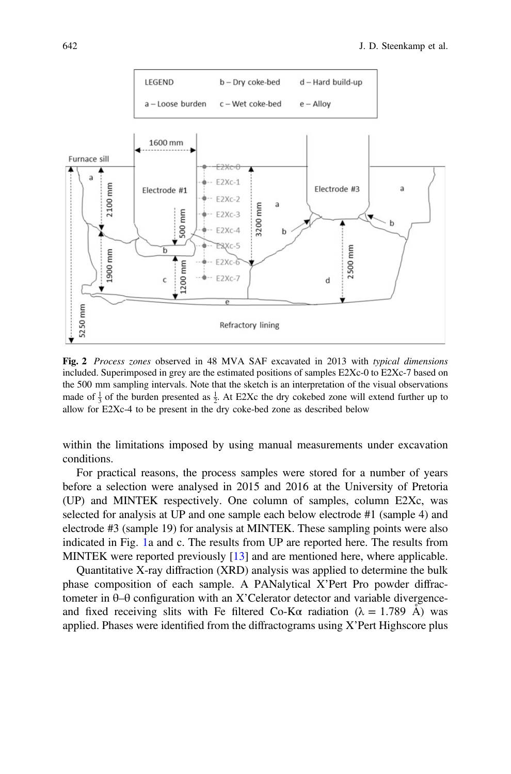

**Fig. 2** *Process zones* observed in 48 MVA SAF excavated in 2013 with *typical dimensions* included. Superimposed in grey are the estimated positions of samples E2Xc-0 to E2Xc-7 based on the 500 mm sampling intervals. Note that the sketch is an interpretation of the visual observations made of  $\frac{1}{3}$  of the burden presented as  $\frac{1}{2}$ . At E2Xc the dry cokebed zone will extend further up to allow for E2Xc-4 to be present in the dry coke-bed zone as described below

within the limitations imposed by using manual measurements under excavation conditions.

For practical reasons, the process samples were stored for a number of years before a selection were analysed in 2015 and 2016 at the University of Pretoria (UP) and MINTEK respectively. One column of samples, column E2Xc, was selected for analysis at UP and one sample each below electrode #1 (sample 4) and electrode #3 (sample 19) for analysis at MINTEK. These sampling points were also indicated in Fig. 1a and c. The results from UP are reported here. The results from MINTEK were reported previously [13] and are mentioned here, where applicable.

Quantitative X-ray diffraction (XRD) analysis was applied to determine the bulk phase composition of each sample. A PANalytical X'Pert Pro powder diffractometer in θ–θ configuration with an X'Celerator detector and variable divergenceand fixed receiving slits with Fe filtered Co-K $\alpha$  radiation ( $\lambda = 1.789$  Å) was applied. Phases were identified from the diffractograms using X'Pert Highscore plus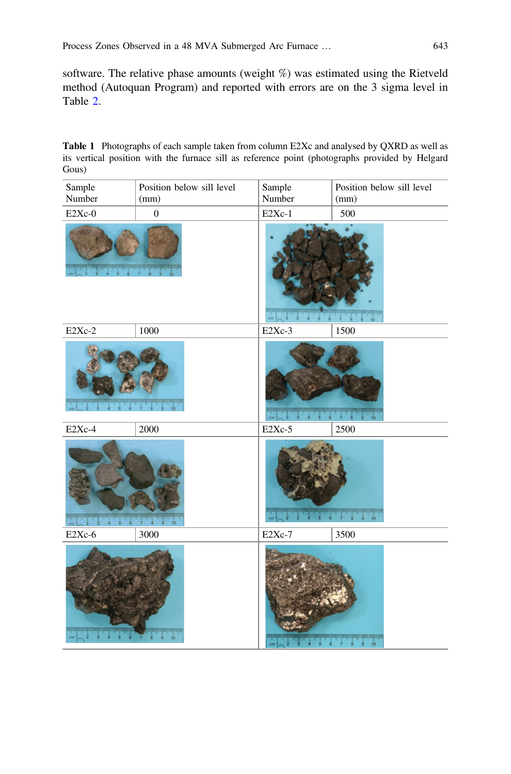software. The relative phase amounts (weight %) was estimated using the Rietveld method (Autoquan Program) and reported with errors are on the 3 sigma level in Table 2.

**Table 1** Photographs of each sample taken from column E2Xc and analysed by QXRD as well as its vertical position with the furnace sill as reference point (photographs provided by Helgard Gous)

| Sample   | Position below sill level | Sample              | Position below sill level |
|----------|---------------------------|---------------------|---------------------------|
| Number   | (mm)                      | Number              | (mm)                      |
| E2Xc-0   | $\boldsymbol{0}$          | $E2Xc-1$            | 500                       |
|          |                           |                     |                           |
| E2Xc-2   | 1000                      | E2Xc-3              | 1500                      |
|          |                           |                     |                           |
| E2Xc-4   | 2000                      | E <sub>2</sub> Xc-5 | 2500                      |
|          |                           |                     |                           |
| $E2Xc-6$ | 3000                      | E <sub>2</sub> Xc-7 | 3500                      |
|          | 10                        |                     |                           |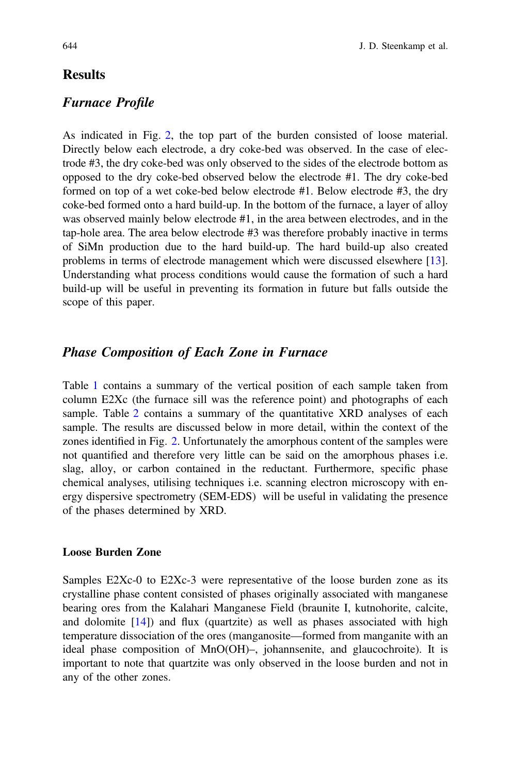# **Results**

## *Furnace Profile*

As indicated in Fig. 2, the top part of the burden consisted of loose material. Directly below each electrode, a dry coke-bed was observed. In the case of electrode #3, the dry coke-bed was only observed to the sides of the electrode bottom as opposed to the dry coke-bed observed below the electrode #1. The dry coke-bed formed on top of a wet coke-bed below electrode #1. Below electrode #3, the dry coke-bed formed onto a hard build-up. In the bottom of the furnace, a layer of alloy was observed mainly below electrode #1, in the area between electrodes, and in the tap-hole area. The area below electrode #3 was therefore probably inactive in terms of SiMn production due to the hard build-up. The hard build-up also created problems in terms of electrode management which were discussed elsewhere [13]. Understanding what process conditions would cause the formation of such a hard build-up will be useful in preventing its formation in future but falls outside the scope of this paper.

## *Phase Composition of Each Zone in Furnace*

Table 1 contains a summary of the vertical position of each sample taken from column E2Xc (the furnace sill was the reference point) and photographs of each sample. Table 2 contains a summary of the quantitative XRD analyses of each sample. The results are discussed below in more detail, within the context of the zones identified in Fig. 2. Unfortunately the amorphous content of the samples were not quantified and therefore very little can be said on the amorphous phases i.e. slag, alloy, or carbon contained in the reductant. Furthermore, specific phase chemical analyses, utilising techniques i.e. scanning electron microscopy with energy dispersive spectrometry (SEM-EDS) will be useful in validating the presence of the phases determined by XRD.

### **Loose Burden Zone**

Samples E2Xc-0 to E2Xc-3 were representative of the loose burden zone as its crystalline phase content consisted of phases originally associated with manganese bearing ores from the Kalahari Manganese Field (braunite I, kutnohorite, calcite, and dolomite  $[14]$ ) and flux (quartzite) as well as phases associated with high temperature dissociation of the ores (manganosite—formed from manganite with an ideal phase composition of MnO(OH)–, johannsenite, and glaucochroite). It is important to note that quartzite was only observed in the loose burden and not in any of the other zones.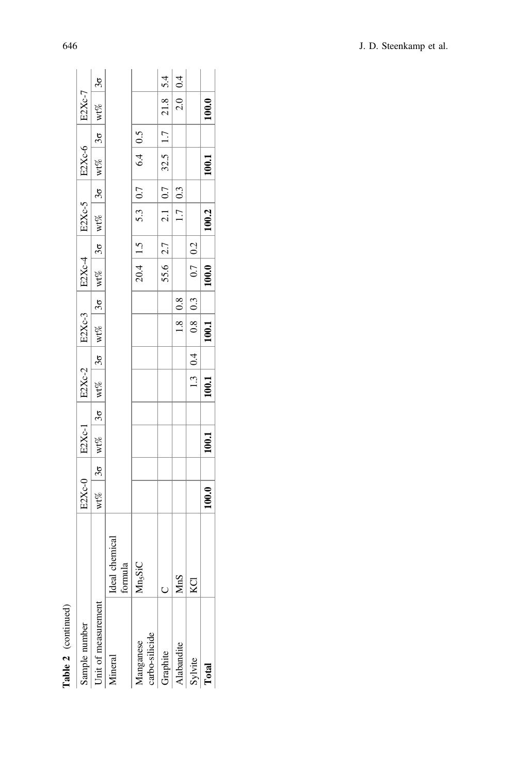| Sample number                     |                          | E2Xc-0 | $E2Xc-1$ | $E2Xc-2$ |           | E2Xc-3            |             | $EXC-4$      |            | E2Xc-5 |             | E2Xc-6                                                                                                                  | E2Xc-7                                                                          |                     |
|-----------------------------------|--------------------------|--------|----------|----------|-----------|-------------------|-------------|--------------|------------|--------|-------------|-------------------------------------------------------------------------------------------------------------------------|---------------------------------------------------------------------------------|---------------------|
| Jnit of measurement               |                          |        |          |          |           |                   |             |              |            |        |             | wt% as wt% as wt% as wt% as with $\frac{1}{3}$ or with $\frac{1}{3}$ or $\frac{1}{3}$ or $\frac{1}{3}$ or $\frac{1}{3}$ |                                                                                 | $\frac{3\sigma}{2}$ |
| <i>Aineral</i>                    | deal chemical<br>formula |        |          |          |           |                   |             |              |            |        |             |                                                                                                                         |                                                                                 |                     |
| arbo-silicide<br><b>Aanganese</b> | $Ans_5$ SiC              |        |          |          |           |                   |             |              | 20.4   1.5 |        | 5.3 $ 0.7 $ | 6.4 0.5                                                                                                                 |                                                                                 |                     |
| Graphite                          |                          |        |          |          |           |                   |             | $55.6$   2.7 |            |        | 2.1   0.7   | $32.5$   1.7                                                                                                            | $\begin{array}{ c c c }\n\hline\n2.1.8 & 5.4 \\ \hline\n2.0 & 0.4\n\end{array}$ |                     |
| <b>Uabandite</b>                  | 1nS                      |        |          |          |           | $1.8 \,   \, 0.8$ |             |              |            |        | 1.7   0.3   |                                                                                                                         |                                                                                 |                     |
| sylvite                           | g                        |        |          |          | 1.3   0.4 |                   | $0.8$   0.3 | 0.7 0.2      |            |        |             |                                                                                                                         |                                                                                 |                     |
| <b>Total</b>                      |                          | 100.0  | 100.1    | 100.1    |           | 100.1             |             | 100.0        |            | 100.2  |             | 100.1                                                                                                                   | 100.0                                                                           |                     |

Table 2 (continued) **Table 2** (continued)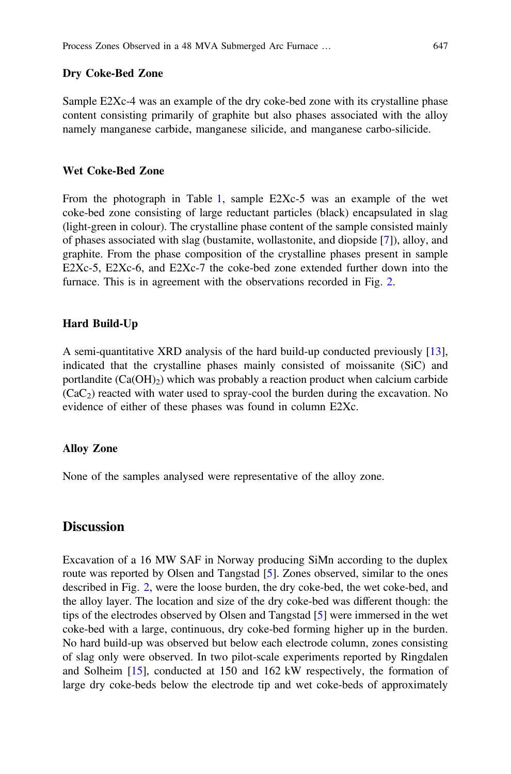#### **Dry Coke-Bed Zone**

Sample E2Xc-4 was an example of the dry coke-bed zone with its crystalline phase content consisting primarily of graphite but also phases associated with the alloy namely manganese carbide, manganese silicide, and manganese carbo-silicide.

#### **Wet Coke-Bed Zone**

From the photograph in Table 1, sample E2Xc-5 was an example of the wet coke-bed zone consisting of large reductant particles (black) encapsulated in slag (light-green in colour). The crystalline phase content of the sample consisted mainly of phases associated with slag (bustamite, wollastonite, and diopside [7]), alloy, and graphite. From the phase composition of the crystalline phases present in sample E2Xc-5, E2Xc-6, and E2Xc-7 the coke-bed zone extended further down into the furnace. This is in agreement with the observations recorded in Fig. 2.

#### **Hard Build-Up**

A semi-quantitative XRD analysis of the hard build-up conducted previously [13], indicated that the crystalline phases mainly consisted of moissanite (SiC) and portlandite  $(Ca(OH)_2)$  which was probably a reaction product when calcium carbide  $(CaC<sub>2</sub>)$  reacted with water used to spray-cool the burden during the excavation. No evidence of either of these phases was found in column E2Xc.

#### **Alloy Zone**

None of the samples analysed were representative of the alloy zone.

## **Discussion**

Excavation of a 16 MW SAF in Norway producing SiMn according to the duplex route was reported by Olsen and Tangstad [5]. Zones observed, similar to the ones described in Fig. 2, were the loose burden, the dry coke-bed, the wet coke-bed, and the alloy layer. The location and size of the dry coke-bed was different though: the tips of the electrodes observed by Olsen and Tangstad [5] were immersed in the wet coke-bed with a large, continuous, dry coke-bed forming higher up in the burden. No hard build-up was observed but below each electrode column, zones consisting of slag only were observed. In two pilot-scale experiments reported by Ringdalen and Solheim [15], conducted at 150 and 162 kW respectively, the formation of large dry coke-beds below the electrode tip and wet coke-beds of approximately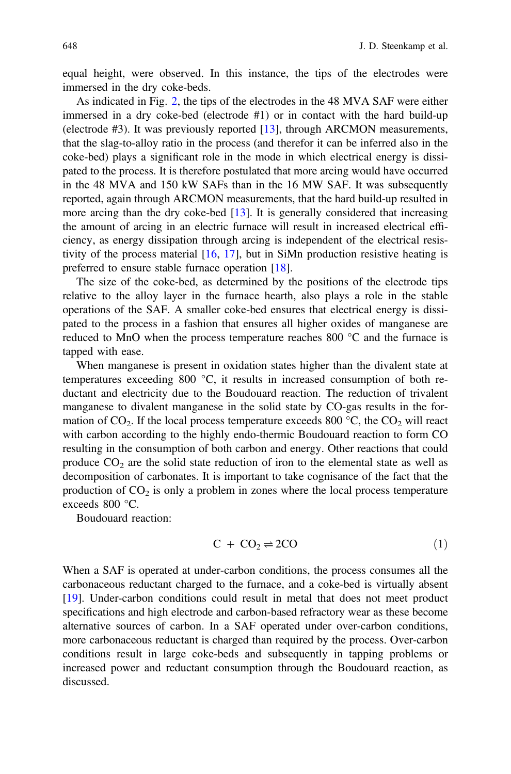equal height, were observed. In this instance, the tips of the electrodes were immersed in the dry coke-beds.

As indicated in Fig. 2, the tips of the electrodes in the 48 MVA SAF were either immersed in a dry coke-bed (electrode #1) or in contact with the hard build-up (electrode #3). It was previously reported [13], through ARCMON measurements, that the slag-to-alloy ratio in the process (and therefor it can be inferred also in the coke-bed) plays a significant role in the mode in which electrical energy is dissipated to the process. It is therefore postulated that more arcing would have occurred in the 48 MVA and 150 kW SAFs than in the 16 MW SAF. It was subsequently reported, again through ARCMON measurements, that the hard build-up resulted in more arcing than the dry coke-bed [13]. It is generally considered that increasing the amount of arcing in an electric furnace will result in increased electrical efficiency, as energy dissipation through arcing is independent of the electrical resistivity of the process material  $[16, 17]$ , but in SiMn production resistive heating is preferred to ensure stable furnace operation [18].

The size of the coke-bed, as determined by the positions of the electrode tips relative to the alloy layer in the furnace hearth, also plays a role in the stable operations of the SAF. A smaller coke-bed ensures that electrical energy is dissipated to the process in a fashion that ensures all higher oxides of manganese are reduced to MnO when the process temperature reaches 800  $^{\circ}$ C and the furnace is tapped with ease.

When manganese is present in oxidation states higher than the divalent state at temperatures exceeding 800 °C, it results in increased consumption of both reductant and electricity due to the Boudouard reaction. The reduction of trivalent manganese to divalent manganese in the solid state by CO-gas results in the formation of  $CO_2$ . If the local process temperature exceeds 800 °C, the  $CO_2$  will react with carbon according to the highly endo-thermic Boudouard reaction to form CO resulting in the consumption of both carbon and energy. Other reactions that could produce  $CO<sub>2</sub>$  are the solid state reduction of iron to the elemental state as well as decomposition of carbonates. It is important to take cognisance of the fact that the production of  $CO<sub>2</sub>$  is only a problem in zones where the local process temperature exceeds 800 °C.

Boudouard reaction:

$$
C + CO_2 \rightleftharpoons 2CO \tag{1}
$$

When a SAF is operated at under-carbon conditions, the process consumes all the carbonaceous reductant charged to the furnace, and a coke-bed is virtually absent [19]. Under-carbon conditions could result in metal that does not meet product specifications and high electrode and carbon-based refractory wear as these become alternative sources of carbon. In a SAF operated under over-carbon conditions, more carbonaceous reductant is charged than required by the process. Over-carbon conditions result in large coke-beds and subsequently in tapping problems or increased power and reductant consumption through the Boudouard reaction, as discussed.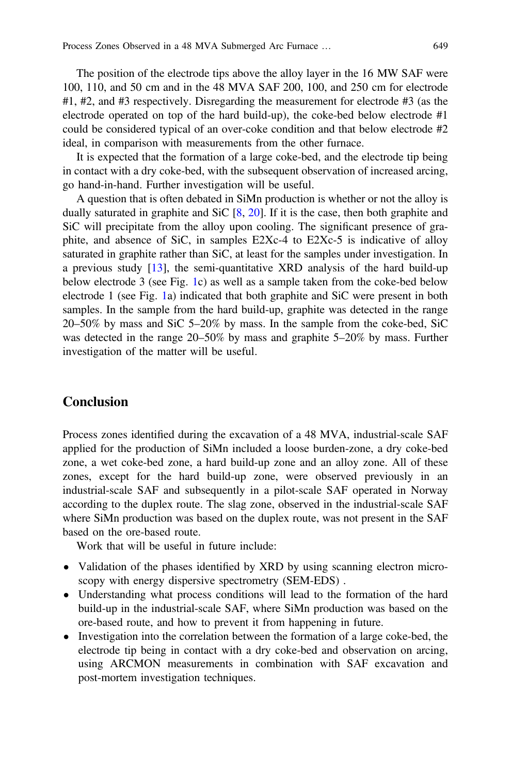The position of the electrode tips above the alloy layer in the 16 MW SAF were 100, 110, and 50 cm and in the 48 MVA SAF 200, 100, and 250 cm for electrode #1, #2, and #3 respectively. Disregarding the measurement for electrode #3 (as the electrode operated on top of the hard build-up), the coke-bed below electrode #1 could be considered typical of an over-coke condition and that below electrode #2 ideal, in comparison with measurements from the other furnace.

It is expected that the formation of a large coke-bed, and the electrode tip being in contact with a dry coke-bed, with the subsequent observation of increased arcing, go hand-in-hand. Further investigation will be useful.

A question that is often debated in SiMn production is whether or not the alloy is dually saturated in graphite and SiC [8, 20]. If it is the case, then both graphite and SiC will precipitate from the alloy upon cooling. The significant presence of graphite, and absence of SiC, in samples E2Xc-4 to E2Xc-5 is indicative of alloy saturated in graphite rather than SiC, at least for the samples under investigation. In a previous study [13], the semi-quantitative XRD analysis of the hard build-up below electrode 3 (see Fig. 1c) as well as a sample taken from the coke-bed below electrode 1 (see Fig. 1a) indicated that both graphite and SiC were present in both samples. In the sample from the hard build-up, graphite was detected in the range 20–50% by mass and SiC 5–20% by mass. In the sample from the coke-bed, SiC was detected in the range 20–50% by mass and graphite 5–20% by mass. Further investigation of the matter will be useful.

## **Conclusion**

Process zones identified during the excavation of a 48 MVA, industrial-scale SAF applied for the production of SiMn included a loose burden-zone, a dry coke-bed zone, a wet coke-bed zone, a hard build-up zone and an alloy zone. All of these zones, except for the hard build-up zone, were observed previously in an industrial-scale SAF and subsequently in a pilot-scale SAF operated in Norway according to the duplex route. The slag zone, observed in the industrial-scale SAF where SiMn production was based on the duplex route, was not present in the SAF based on the ore-based route.

Work that will be useful in future include:

- Validation of the phases identified by XRD by using scanning electron microscopy with energy dispersive spectrometry (SEM-EDS) .
- Understanding what process conditions will lead to the formation of the hard build-up in the industrial-scale SAF, where SiMn production was based on the ore-based route, and how to prevent it from happening in future.
- Investigation into the correlation between the formation of a large coke-bed, the electrode tip being in contact with a dry coke-bed and observation on arcing, using ARCMON measurements in combination with SAF excavation and post-mortem investigation techniques.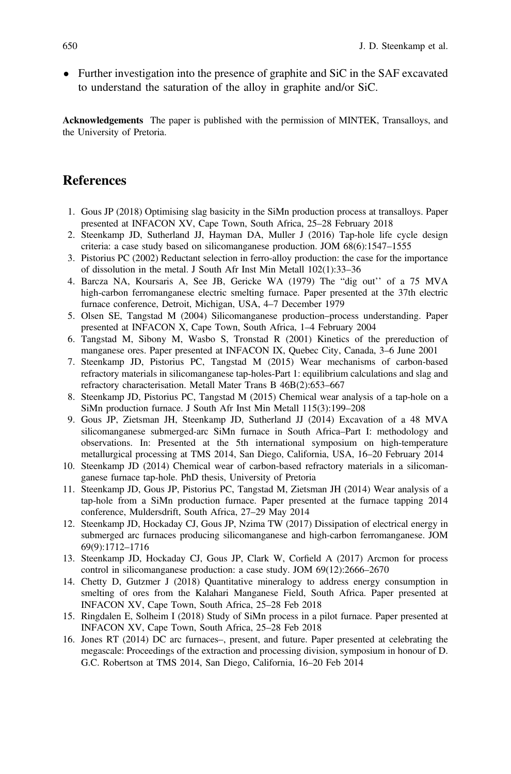• Further investigation into the presence of graphite and SiC in the SAF excavated to understand the saturation of the alloy in graphite and/or SiC.

**Acknowledgements** The paper is published with the permission of MINTEK, Transalloys, and the University of Pretoria.

## **References**

- 1. Gous JP (2018) Optimising slag basicity in the SiMn production process at transalloys. Paper presented at INFACON XV, Cape Town, South Africa, 25–28 February 2018
- 2. Steenkamp JD, Sutherland JJ, Hayman DA, Muller J (2016) Tap-hole life cycle design criteria: a case study based on silicomanganese production. JOM 68(6):1547–1555
- 3. Pistorius PC (2002) Reductant selection in ferro-alloy production: the case for the importance of dissolution in the metal. J South Afr Inst Min Metall 102(1):33–36
- 4. Barcza NA, Koursaris A, See JB, Gericke WA (1979) The "dig out'' of a 75 MVA high-carbon ferromanganese electric smelting furnace. Paper presented at the 37th electric furnace conference, Detroit, Michigan, USA, 4–7 December 1979
- 5. Olsen SE, Tangstad M (2004) Silicomanganese production–process understanding. Paper presented at INFACON X, Cape Town, South Africa, 1–4 February 2004
- 6. Tangstad M, Sibony M, Wasbo S, Tronstad R (2001) Kinetics of the prereduction of manganese ores. Paper presented at INFACON IX, Quebec City, Canada, 3–6 June 2001
- 7. Steenkamp JD, Pistorius PC, Tangstad M (2015) Wear mechanisms of carbon-based refractory materials in silicomanganese tap-holes-Part 1: equilibrium calculations and slag and refractory characterisation. Metall Mater Trans B 46B(2):653–667
- 8. Steenkamp JD, Pistorius PC, Tangstad M (2015) Chemical wear analysis of a tap-hole on a SiMn production furnace. J South Afr Inst Min Metall 115(3):199–208
- 9. Gous JP, Zietsman JH, Steenkamp JD, Sutherland JJ (2014) Excavation of a 48 MVA silicomanganese submerged-arc SiMn furnace in South Africa–Part I: methodology and observations. In: Presented at the 5th international symposium on high-temperature metallurgical processing at TMS 2014, San Diego, California, USA, 16–20 February 2014
- 10. Steenkamp JD (2014) Chemical wear of carbon-based refractory materials in a silicomanganese furnace tap-hole. PhD thesis, University of Pretoria
- 11. Steenkamp JD, Gous JP, Pistorius PC, Tangstad M, Zietsman JH (2014) Wear analysis of a tap-hole from a SiMn production furnace. Paper presented at the furnace tapping 2014 conference, Muldersdrift, South Africa, 27–29 May 2014
- 12. Steenkamp JD, Hockaday CJ, Gous JP, Nzima TW (2017) Dissipation of electrical energy in submerged arc furnaces producing silicomanganese and high-carbon ferromanganese. JOM 69(9):1712–1716
- 13. Steenkamp JD, Hockaday CJ, Gous JP, Clark W, Corfield A (2017) Arcmon for process control in silicomanganese production: a case study. JOM 69(12):2666–2670
- 14. Chetty D, Gutzmer J (2018) Quantitative mineralogy to address energy consumption in smelting of ores from the Kalahari Manganese Field, South Africa. Paper presented at INFACON XV, Cape Town, South Africa, 25–28 Feb 2018
- 15. Ringdalen E, Solheim I (2018) Study of SiMn process in a pilot furnace. Paper presented at INFACON XV, Cape Town, South Africa, 25–28 Feb 2018
- 16. Jones RT (2014) DC arc furnaces–, present, and future. Paper presented at celebrating the megascale: Proceedings of the extraction and processing division, symposium in honour of D. G.C. Robertson at TMS 2014, San Diego, California, 16–20 Feb 2014